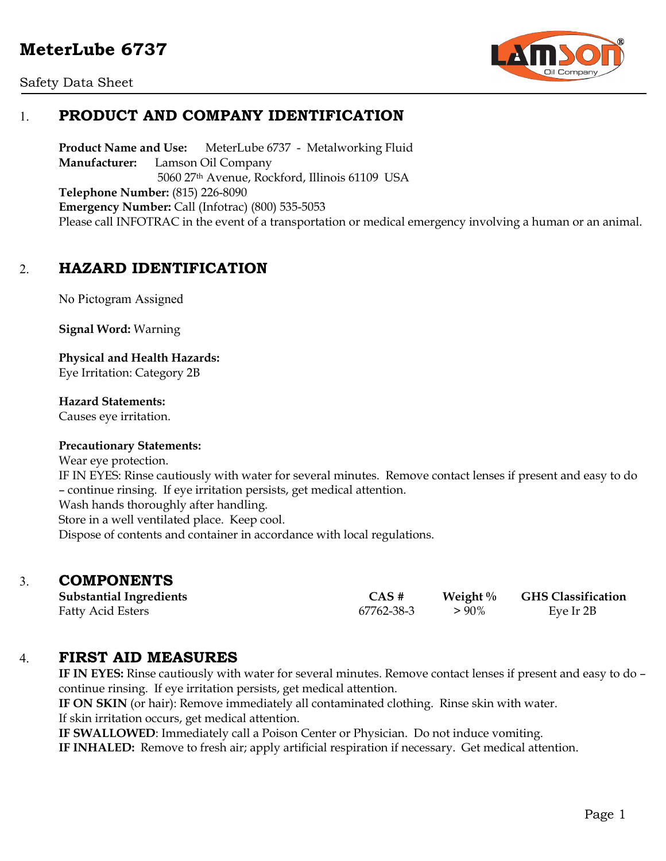



# 1. **PRODUCT AND COMPANY IDENTIFICATION**

**Product Name and Use:** MeterLube 6737 - Metalworking Fluid **Manufacturer:** Lamson Oil Company 5060 27th Avenue, Rockford, Illinois 61109 USA **Telephone Number:** (815) 226-8090 **Emergency Number:** Call (Infotrac) (800) 535-5053 Please call INFOTRAC in the event of a transportation or medical emergency involving a human or an animal.

## 2. **HAZARD IDENTIFICATION**

No Pictogram Assigned

**Signal Word:** Warning

**Physical and Health Hazards:** Eye Irritation: Category 2B

**Hazard Statements:** 

Causes eye irritation.

### **Precautionary Statements:**

Wear eye protection.

IF IN EYES: Rinse cautiously with water for several minutes. Remove contact lenses if present and easy to do – continue rinsing. If eye irritation persists, get medical attention.

Wash hands thoroughly after handling. Store in a well ventilated place. Keep cool.

Dispose of contents and container in accordance with local regulations.

## 3. **COMPONENTS**

| <b>Substantial Ingredients</b> | $CAS \#$   | Weight $\%$ | <b>GHS Classification</b> |
|--------------------------------|------------|-------------|---------------------------|
| <b>Fatty Acid Esters</b>       | 67762-38-3 | $> 90\%$    | Eye Ir 2B                 |

## 4. **FIRST AID MEASURES**

**IF IN EYES:** Rinse cautiously with water for several minutes. Remove contact lenses if present and easy to do – continue rinsing. If eye irritation persists, get medical attention.

**IF ON SKIN** (or hair): Remove immediately all contaminated clothing. Rinse skin with water. If skin irritation occurs, get medical attention.

**IF SWALLOWED**: Immediately call a Poison Center or Physician. Do not induce vomiting.

**IF INHALED:** Remove to fresh air; apply artificial respiration if necessary. Get medical attention.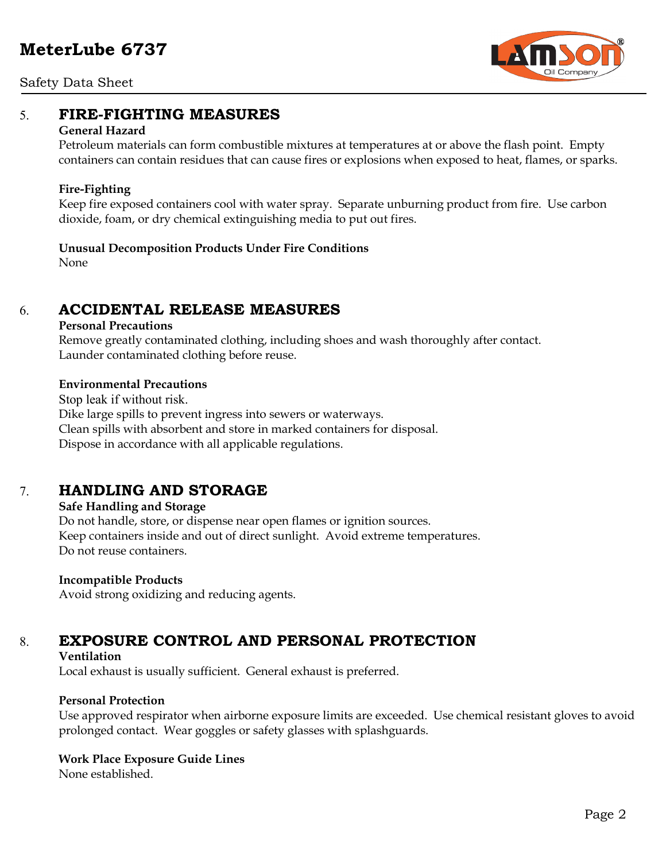

Safety Data Sheet

## 5. **FIRE-FIGHTING MEASURES**

### **General Hazard**

Petroleum materials can form combustible mixtures at temperatures at or above the flash point. Empty containers can contain residues that can cause fires or explosions when exposed to heat, flames, or sparks.

### **Fire-Fighting**

Keep fire exposed containers cool with water spray. Separate unburning product from fire. Use carbon dioxide, foam, or dry chemical extinguishing media to put out fires.

**Unusual Decomposition Products Under Fire Conditions**

None

# 6. **ACCIDENTAL RELEASE MEASURES**

### **Personal Precautions**

Remove greatly contaminated clothing, including shoes and wash thoroughly after contact. Launder contaminated clothing before reuse.

### **Environmental Precautions**

Stop leak if without risk. Dike large spills to prevent ingress into sewers or waterways. Clean spills with absorbent and store in marked containers for disposal. Dispose in accordance with all applicable regulations.

# 7. **HANDLING AND STORAGE**

## **Safe Handling and Storage**

Do not handle, store, or dispense near open flames or ignition sources. Keep containers inside and out of direct sunlight. Avoid extreme temperatures. Do not reuse containers.

## **Incompatible Products**

Avoid strong oxidizing and reducing agents.

# 8. **EXPOSURE CONTROL AND PERSONAL PROTECTION**

### **Ventilation**

Local exhaust is usually sufficient. General exhaust is preferred.

## **Personal Protection**

Use approved respirator when airborne exposure limits are exceeded. Use chemical resistant gloves to avoid prolonged contact. Wear goggles or safety glasses with splashguards.

## **Work Place Exposure Guide Lines**

None established.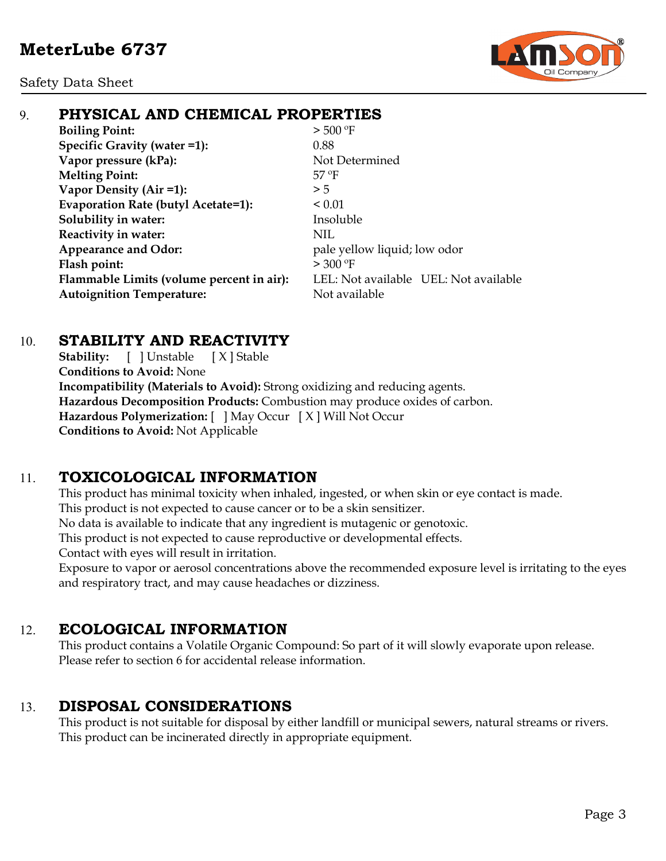Safety Data Sheet



# 9. **PHYSICAL AND CHEMICAL PROPERTIES**

**Boiling Point:**  $> 500 °F$ **Specific Gravity (water =1):** 0.88 **Vapor pressure (kPa):** Not Determined **Melting Point:** 57 ºF **Vapor Density (Air =1):**  $>5$ **Evaporation Rate (butyl Acetate=1):** < 0.01 **Solubility in water:** Insoluble **Reactivity in water:** NIL **Appearance and Odor:** pale yellow liquid; low odor **Flash point:**  $> 300 °F$ **Flammable Limits (volume percent in air):** LEL: Not available UEL: Not available **Autoignition Temperature:** Not available

## 10. **STABILITY AND REACTIVITY**

**Stability:** [ ] Unstable [ X ] Stable **Conditions to Avoid:** None **Incompatibility (Materials to Avoid):** Strong oxidizing and reducing agents. **Hazardous Decomposition Products:** Combustion may produce oxides of carbon. **Hazardous Polymerization:** [ ] May Occur [ X ] Will Not Occur **Conditions to Avoid:** Not Applicable

# 11. **TOXICOLOGICAL INFORMATION**

This product has minimal toxicity when inhaled, ingested, or when skin or eye contact is made. This product is not expected to cause cancer or to be a skin sensitizer. No data is available to indicate that any ingredient is mutagenic or genotoxic. This product is not expected to cause reproductive or developmental effects. Contact with eyes will result in irritation.

Exposure to vapor or aerosol concentrations above the recommended exposure level is irritating to the eyes and respiratory tract, and may cause headaches or dizziness.

# 12. **ECOLOGICAL INFORMATION**

This product contains a Volatile Organic Compound: So part of it will slowly evaporate upon release. Please refer to section 6 for accidental release information.

# 13. **DISPOSAL CONSIDERATIONS**

This product is not suitable for disposal by either landfill or municipal sewers, natural streams or rivers. This product can be incinerated directly in appropriate equipment.